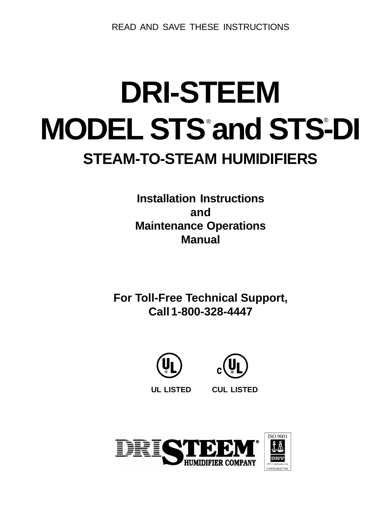READ AND SAVE THESE INSTRUCTIONS

# **DRI-STEEM MODEL STS°and STS-DI STEAM-TO-STEAM HUMIDIFIERS**

**Installation Instructions and Maintenance Operations Manual**

**For Toll-Free Technical Support, Call 1-800-328-4447**





**UL LISTED CUL LISTED**

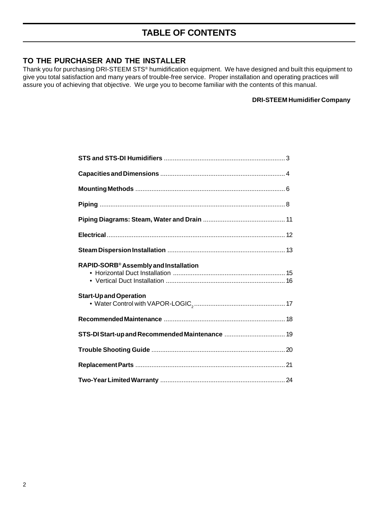#### **TO THE PURCHASER AND THE INSTALLER**

Thank you for purchasing DRI-STEEM STS® humidification equipment. We have designed and built this equipment to give you total satisfaction and many years of trouble-free service. Proper installation and operating practices will assure you of achieving that objective. We urge you to become familiar with the contents of this manual.

#### **DRI-STEEM Humidifier Company**

| RAPID-SORB <sup>®</sup> Assembly and Installation |  |
|---------------------------------------------------|--|
| <b>Start-Up and Operation</b>                     |  |
|                                                   |  |
|                                                   |  |
|                                                   |  |
|                                                   |  |
|                                                   |  |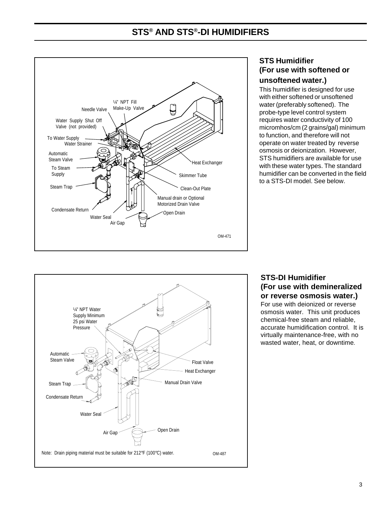## **STS® AND STS®-DI HUMIDIFIERS**



#### **STS Humidifier (For use with softened or unsoftened water.)**

This humidifier is designed for use with either softened or unsoftened water (preferably softened). The probe-type level control system requires water conductivity of 100 micromhos/cm (2 grains/gal) minimum to function, and therefore will not operate on water treated by reverse osmosis or deionization. However, STS humidifiers are available for use with these water types. The standard humidifier can be converted in the field to a STS-DI model. See below.



## **STS-DI Humidifier (For use with demineralized or reverse osmosis water.)**

For use with deionized or reverse osmosis water. This unit produces chemical-free steam and reliable, accurate humidification control. It is virtually maintenance-free, with no wasted water, heat, or downtime.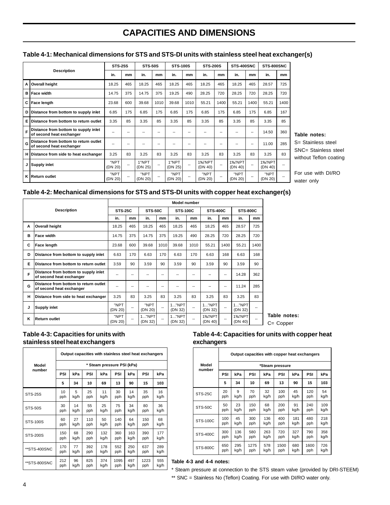## **CAPACITIES AND DIMENSIONS**

|   |                                                                   |                 | <b>STS-25S</b><br><b>STS-50S</b> |                  | <b>STS-100S</b> |                  | <b>STS-200S</b> |                   | STS-400SNC               |                   | STS-800SNC |                   |      |
|---|-------------------------------------------------------------------|-----------------|----------------------------------|------------------|-----------------|------------------|-----------------|-------------------|--------------------------|-------------------|------------|-------------------|------|
|   | <b>Description</b>                                                | in.             | mm                               | in.              | mm              | in.              | mm              | in.               | mm                       | in.               | mm         | in.               | mm   |
| A | <b>Overall height</b>                                             | 18.25           | 465                              | 18.25            | 465             | 18.25            | 465             | 18.25             | 465                      | 18.25             | 465        | 28.57             | 725  |
| в | <b>Face width</b>                                                 | 14.75           | 375                              | 14.75            | 375             | 19.25            | 490             | 28.25             | 720                      | 28.25             | 720        | 28.25             | 720  |
| C | Face length                                                       | 23.68           | 600                              | 39.68            | 1010            | 39.68            | 1010            | 55.21             | 1400                     | 55.21             | 1400       | 55.21             | 1400 |
| D | Distance from bottom to supply inlet                              | 6.85            | 175                              | 6.85             | 175             | 6.85             | 175             | 6.85              | 175                      | 6.85              | 175        | 6.85              | 167  |
| Е | Distance from bottom to return outlet                             | 3.35            | 85                               | 3.35             | 85              | 3.35             | 85              | 3.35              | 85                       | 3.35              | 85         | 3.35              | 85   |
| F | Distance from bottom to supply inlet<br>of second heat exchanger  | --              |                                  |                  | --              |                  | --              |                   | --                       |                   | --         | 14.50             | 360  |
| G | Distance from bottom to return outlet<br>of second heat exchanger | --              | --                               | --               | --              | --               | --              | --                | --                       | --                | --         | 11.00             | 285  |
| н | Distance from side to heat exchanger                              | 3.25            | 83                               | 3.25             | 83              | 3.25             | 83              | 3.25              | 83                       | 3.25              | 83         | 3.25              | 83   |
| J | <b>Supply inlet</b>                                               | "NPT<br>(DN 20) | --                               | 1"NPT<br>(DN 25) |                 | 1"NPT<br>(DN 25) | --              | 1%"NPT<br>(DN 40) | $\overline{\phantom{a}}$ | 1%"NPT<br>(DN 40) |            | 1%"NPT<br>(DN 40) | --   |
| κ | l Return outlet                                                   | "NPT<br>(DN 20) | --                               | "NPT<br>(DN 20)  | --              | "NPT<br>(DN 20)  | --              | "NPT<br>(DN 20)   | --                       | "NPT<br>(DN 20)   |            | "NPT<br>(DN 20)   | --   |

#### **Table 4-1: Mechanical dimensions for STS and STS-DI units with stainless steel heat exchanger(s)**

**Table notes:**

S= Stainless steel SNC= Stainless steel without Teflon coating

For use with DI/RO water only

#### **Table 4-2: Mechanical dimensions for STS and STS-DI units with copper heat exchanger(s)**

|   |                                                                   | <b>Model number</b> |     |                  |      |                  |      |                   |      |                   |      |
|---|-------------------------------------------------------------------|---------------------|-----|------------------|------|------------------|------|-------------------|------|-------------------|------|
|   | <b>Description</b>                                                | <b>STS-25C</b>      |     | <b>STS-50C</b>   |      | <b>STS-100C</b>  |      | <b>STS-400C</b>   |      | <b>STS-800C</b>   |      |
|   |                                                                   | in.                 | mm  | in.              | mm   | in.              | mm   | in.               | mm   | in.               | mm   |
| A | <b>Overall height</b>                                             | 18.25               | 465 | 18.25            | 465  | 18.25            | 465  | 18.25             | 465  | 28.57             | 725  |
| в | <b>Face width</b>                                                 | 14.75               | 375 | 14.75            | 375  | 19.25            | 490  | 28.25             | 720  | 28.25             | 720  |
| C | Face length                                                       | 23.68               | 600 | 39.68            | 1010 | 39.68            | 1010 | 55.21             | 1400 | 55.21             | 1400 |
| D | Distance from bottom to supply inlet                              | 6.63                | 170 | 6.63             | 170  | 6.63             | 170  | 6.63              | 168  | 6.63              | 168  |
| Е | Distance from bottom to return outlet                             | 3.59                | 90  | 3.59             | 90   | 3.59             | 90   | 3.59              | 90   | 3.59              | 90   |
| F | Distance from bottom to supply inlet<br>of second heat exchanger  | --                  | --  | --               | --   |                  | --   | --                | --   | 14.28             | 362  |
| G | Distance from bottom to return outlet<br>of second heat exchanger | --                  | --  | --               | --   | --               | --   | --                | --   | 11.24             | 285  |
| н | Distance from side to heat exchanger                              | 3.25                | 83  | 3.25             | 83   | 3.25             | 83   | 3.25              | 83   | 3.25              | 83   |
| J | Supply inlet                                                      | "NPT<br>(DN 20)     |     | "NPT<br>(DN 20)  | --   | 1"NPT<br>(DN 32) | --   | 1"NPT<br>(DN 32)  | --   | 1"NPT<br>(DN 32)  | --   |
| Κ | <b>Return outlet</b>                                              | "NPT<br>(DN 20)     |     | 1"NPT<br>(DN 32) |      | 1"NPT<br>(DN 32) | --   | 1%"NPT<br>(DN 40) | --   | 1%"NPT<br>(DN 40) | --   |

**Table notes:**

C= Copper

#### **Table 4-3: Capacities for units with stainless steel heat exchangers**

|                 | Output capacities with stainless steel heat exchangers |      |     |      |      |      |      |      |  |  |  |
|-----------------|--------------------------------------------------------|------|-----|------|------|------|------|------|--|--|--|
| Model           | * Steam pressure PSI (kPa)                             |      |     |      |      |      |      |      |  |  |  |
| number          | PSI                                                    | kPa  | PSI | kPa  | PSI  | kPa  | PSI  | kPa  |  |  |  |
|                 | 5                                                      | 34   | 10  | 69   | 13   | 90   | 15   | 103  |  |  |  |
| <b>STS-25S</b>  | 10                                                     | 5    | 25  | 11   | 30   | 14   | 35   | 16   |  |  |  |
|                 | pph                                                    | kg/h | pph | kg/h | pph  | kg/h | pph  | kg/h |  |  |  |
| <b>STS-50S</b>  | 30                                                     | 14   | 55  | 25   | 75   | 34   | 80   | 36   |  |  |  |
|                 | pph                                                    | kg/h | pph | kg/h | pph  | kg/h | pph  | kg/h |  |  |  |
| <b>STS-100S</b> | 60                                                     | 27   | 110 | 50   | 140  | 64   | 150  | 68   |  |  |  |
|                 | pph                                                    | kg/h | pph | kg/h | pph  | kg/h | pph  | kg/h |  |  |  |
| <b>STS-200S</b> | 150                                                    | 68   | 290 | 132  | 360  | 163  | 390  | 177  |  |  |  |
|                 | pph                                                    | kg/h | pph | kg/h | pph  | kg/h | pph  | kg/h |  |  |  |
| **STS-400SNC    | 170                                                    | 77   | 392 | 178  | 552  | 250  | 637  | 289  |  |  |  |
|                 | pph                                                    | kg/h | pph | kg/h | pph  | kg/h | pph  | kg/h |  |  |  |
| **STS-800SNC    | 212                                                    | 96   | 825 | 374  | 1095 | 497  | 1223 | 555  |  |  |  |
|                 | pph                                                    | kg/h | pph | kg/h | pph  | kg/h | pph  | kg/h |  |  |  |

#### **Table 4-4: Capacities for units with copper heat exchangers**

|                 |     | Output capacities with copper heat exchangers |      |      |                 |      |      |      |  |
|-----------------|-----|-----------------------------------------------|------|------|-----------------|------|------|------|--|
| Model<br>number |     |                                               |      |      | *Steam pressure |      |      |      |  |
|                 | PSI | kPa                                           | PSI  | kPa  | PSI             | kPa  | PSI  | kPa  |  |
|                 | 5   | 34                                            | 10   | 69   | 13              | 90   | 15   | 103  |  |
| <b>STS-25C</b>  | 20  | 9                                             | 70   | 32   | 100             | 45   | 120  | 54   |  |
|                 | pph | kg/h                                          | pph  | kg/h | pph             | kg/h | pph  | kg/h |  |
| <b>STS-50C</b>  | 50  | 23                                            | 150  | 68   | 200             | 91   | 240  | 109  |  |
|                 | pph | kg/h                                          | pph  | kg/h | pph             | kg/h | pph  | kg/h |  |
| <b>STS-100C</b> | 100 | 45                                            | 300  | 136  | 400             | 181  | 480  | 218  |  |
|                 | pph | kg/h                                          | pph  | kg/h | pph             | kg/h | pph  | kg/h |  |
| <b>STS-400C</b> | 300 | 136                                           | 580  | 263  | 720             | 327  | 790  | 358  |  |
|                 | pph | kg/h                                          | pph  | kg/h | pph             | kg/h | pph  | kg/h |  |
| <b>STS-800C</b> | 650 | 295                                           | 1275 | 578  | 1500            | 680  | 1600 | 726  |  |
|                 | pph | kg/h                                          | pph  | kg/h | pph             | kg/h | pph  | kg/h |  |

Table 4-3 and 4-4 notes:

\* Steam pressure at connection to the STS steam valve (provided by DRI-STEEM) \*\* SNC = Stainless No (Teflon) Coating. For use with DI/RO water only.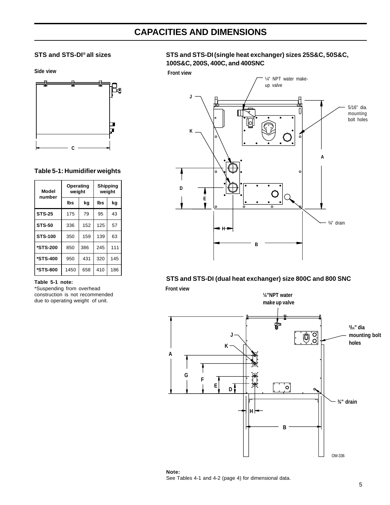## **CAPACITIES AND DIMENSIONS**

**Side view**



#### **Table 5-1: Humidifier weights**

| <b>Model</b><br>number | Operating<br>weight |     | Shipping<br>weight |     |  |  |
|------------------------|---------------------|-----|--------------------|-----|--|--|
|                        | lbs                 | kq  | lbs                | kq  |  |  |
| <b>STS-25</b>          | 175                 | 79  | 95                 | 43  |  |  |
| <b>STS-50</b>          | 336                 | 152 | 125                | 57  |  |  |
| <b>STS-100</b>         | 350                 | 159 | 139                | 63  |  |  |
| *STS-200               | 850                 | 386 | 245                | 111 |  |  |
| *STS-400               | 950                 | 431 | 320                | 145 |  |  |
| *STS-800               | 1450                | 658 | 410                | 186 |  |  |

#### **Table 5-1 note:**

\*Suspending from overhead construction is not recommended due to operating weight of unit.

#### STS and STS-DI<sup>®</sup> all sizes STS and STS-DI(single heat exchanger) sizes 25S&C, 50S&C, **100S&C, 200S, 400C, and 400SNC**





#### **STS and STS-DI (dual heat exchanger) size 800C and 800 SNC**

**Front view**



**Note:** See Tables 4-1 and 4-2 (page 4) for dimensional data.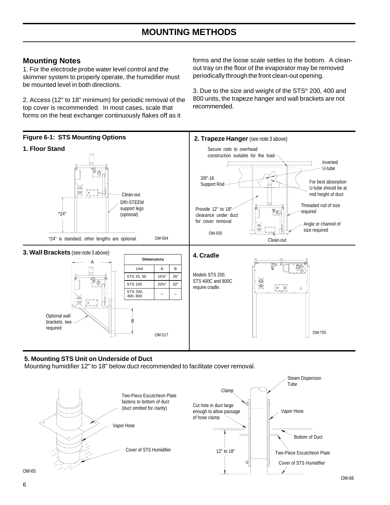#### **Mounting Notes**

1. For the electrode probe water level control and the skimmer system to properly operate, the humidifier must be mounted level in both directions.

2. Access (12" to 18" minimum) for periodic removal of the top cover is recommended. In most cases, scale that forms on the heat exchanger continuously flakes off as it

forms and the loose scale settles to the bottom. A cleanout tray on the floor of the evaporator may be removed periodically through the front clean-out opening.

3. Due to the size and weight of the STS® 200, 400 and 800 units, the trapeze hanger and wall brackets are not recommended.



#### **5. Mounting STS Unit on Underside of Duct**

Mounting humidifier 12" to 18" below duct recommended to facilitate cover removal.



OM-65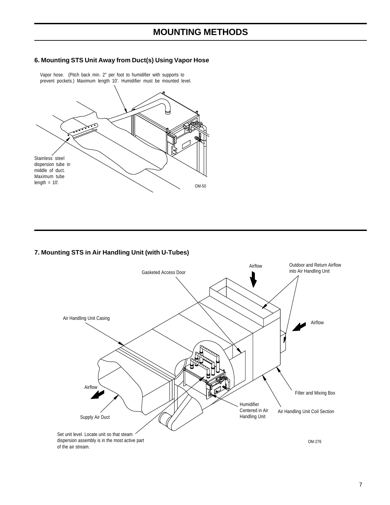## **MOUNTING METHODS**

#### **6. Mounting STS Unit Away from Duct(s) Using Vapor Hose**



Vapor hose. (Pitch back min. 2" per foot to humidifier with supports to

#### **7. Mounting STS in Air Handling Unit (with U-Tubes)**

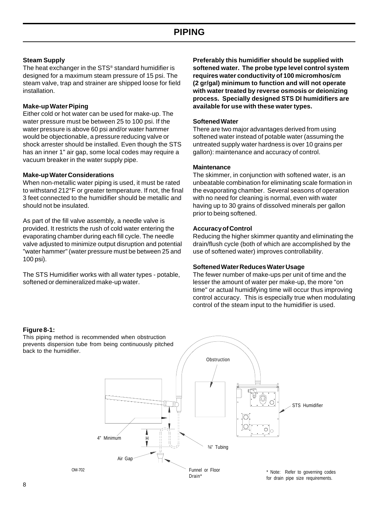#### **Steam Supply**

The heat exchanger in the STS® standard humidifier is designed for a maximum steam pressure of 15 psi. The steam valve, trap and strainer are shipped loose for field installation.

#### **Make-up Water Piping**

Either cold or hot water can be used for make-up. The water pressure must be between 25 to 100 psi. If the water pressure is above 60 psi and/or water hammer would be objectionable, a pressure reducing valve or shock arrester should be installed. Even though the STS has an inner 1" air gap, some local codes may require a vacuum breaker in the water supply pipe.

#### **Make-up Water Considerations**

When non-metallic water piping is used, it must be rated to withstand 212°F or greater temperature. If not, the final 3 feet connected to the humidifier should be metallic and should not be insulated.

As part of the fill valve assembly, a needle valve is provided. It restricts the rush of cold water entering the evaporating chamber during each fill cycle. The needle valve adjusted to minimize output disruption and potential "water hammer" (water pressure must be between 25 and 100 psi).

The STS Humidifier works with all water types - potable, softened or demineralized make-up water.

**Preferably this humidifier should be supplied with softened water. The probe type level control system requires water conductivity of 100 micromhos/cm (2 gr/gal) minimum to function and will not operate with water treated by reverse osmosis or deionizing process. Specially designed STS DI humidifiers are available for use with these water types.**

#### **Softened Water**

There are two major advantages derived from using softened water instead of potable water (assuming the untreated supply water hardness is over 10 grains per gallon): maintenance and accuracy of control.

#### **Maintenance**

The skimmer, in conjunction with softened water, is an unbeatable combination for eliminating scale formation in the evaporating chamber. Several seasons of operation with no need for cleaning is normal, even with water having up to 30 grains of dissolved minerals per gallon prior to being softened.

#### **Accuracy of Control**

Reducing the higher skimmer quantity and eliminating the drain/flush cycle (both of which are accomplished by the use of softened water) improves controllability.

#### **Softened Water Reduces Water Usage**

The fewer number of make-ups per unit of time and the lesser the amount of water per make-up, the more "on time" or actual humidifying time will occur thus improving control accuracy. This is especially true when modulating control of the steam input to the humidifier is used.

#### **Figure 8-1:**

This piping method is recommended when obstruction prevents dispersion tube from being continuously pitched back to the humidifier.

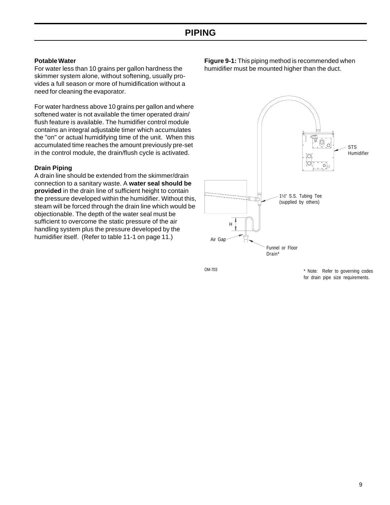#### **Potable Water**

For water less than 10 grains per gallon hardness the skimmer system alone, without softening, usually provides a full season or more of humidification without a need for cleaning the evaporator.

For water hardness above 10 grains per gallon and where softened water is not available the timer operated drain/ flush feature is available. The humidifier control module contains an integral adjustable timer which accumulates the "on" or actual humidifying time of the unit. When this accumulated time reaches the amount previously pre-set in the control module, the drain/flush cycle is activated.

#### **Drain Piping**

A drain line should be extended from the skimmer/drain connection to a sanitary waste. A **water seal should be provided** in the drain line of sufficient height to contain the pressure developed within the humidifier. Without this, steam will be forced through the drain line which would be objectionable. The depth of the water seal must be sufficient to overcome the static pressure of the air handling system plus the pressure developed by the humidifier itself. (Refer to table 11-1 on page 11.)

**Figure 9-1:** This piping method is recommended when humidifier must be mounted higher than the duct.



OM-703

\* Note: Refer to governing codes for drain pipe size requirements.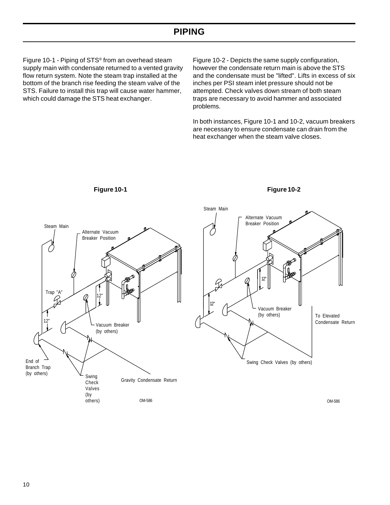## **PIPING**

Figure 10-1 - Piping of STS® from an overhead steam supply main with condensate returned to a vented gravity flow return system. Note the steam trap installed at the bottom of the branch rise feeding the steam valve of the STS. Failure to install this trap will cause water hammer, which could damage the STS heat exchanger.

Figure 10-2 - Depicts the same supply configuration, however the condensate return main is above the STS and the condensate must be "lifted". Lifts in excess of six inches per PSI steam inlet pressure should not be attempted. Check valves down stream of both steam traps are necessary to avoid hammer and associated problems.

In both instances, Figure 10-1 and 10-2, vacuum breakers are necessary to ensure condensate can drain from the heat exchanger when the steam valve closes.

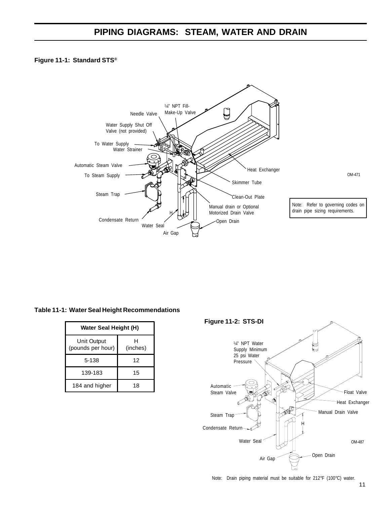## **PIPING DIAGRAMS: STEAM, WATER AND DRAIN**

#### **Figure 11-1: Standard STS®**



#### **Table 11-1: Water Seal Height Recommendations**

| Water Seal Height (H)            |               |  |  |  |  |  |
|----------------------------------|---------------|--|--|--|--|--|
| Unit Output<br>(pounds per hour) | н<br>(inches) |  |  |  |  |  |
| 5-138                            | 12            |  |  |  |  |  |
| 139-183                          | 15            |  |  |  |  |  |
| 184 and higher                   | 18            |  |  |  |  |  |



Note: Drain piping material must be suitable for 212°F (100°C) water.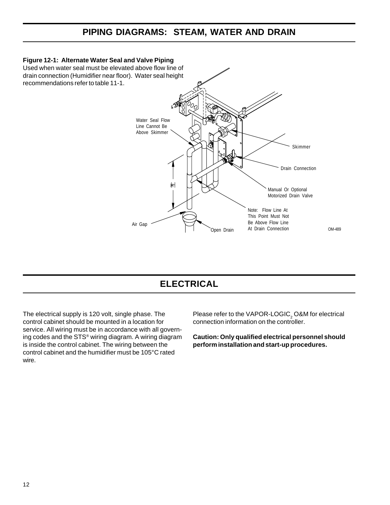## **PIPING DIAGRAMS: STEAM, WATER AND DRAIN**



## **ELECTRICAL**

The electrical supply is 120 volt, single phase. The control cabinet should be mounted in a location for service. All wiring must be in accordance with all governing codes and the STS® wiring diagram. A wiring diagram is inside the control cabinet. The wiring between the control cabinet and the humidifier must be 105°C rated wire.

Please refer to the VAPOR-LOGIC $_{\tiny 2}$  O&M for electrical connection information on the controller.

**Caution: Only qualified electrical personnel should perform installation and start-up procedures.**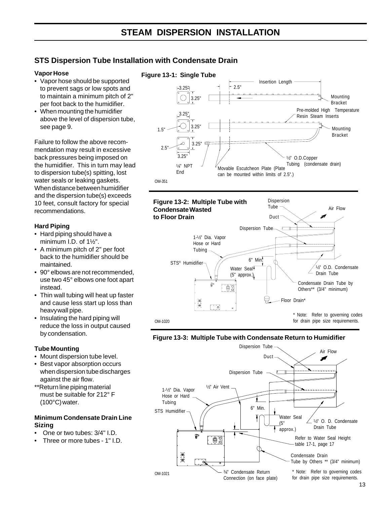## **STS Dispersion Tube Installation with Condensate Drain**

#### **Vapor Hose**

- Vapor hose should be supported to prevent sags or low spots and to maintain a minimum pitch of 2" per foot back to the humidifier.
- When mounting the humidifier above the level of dispersion tube, see page 9.

Failure to follow the above recommendation may result in excessive back pressures being imposed on the humidifier. This in turn may lead to dispersion tube(s) spitting, lost water seals or leaking gaskets. When distance between humidifier and the dispersion tube(s) exceeds 10 feet, consult factory for special recommendations.

#### **Hard Piping**

- Hard piping should have a minimum I.D. of 1½".
- A minimum pitch of 2" per foot back to the humidifier should be maintained.
- 90° elbows are not recommended, use two 45° elbows one foot apart instead.
- Thin wall tubing will heat up faster and cause less start up loss than heavywall pipe.
- Insulating the hard piping will reduce the loss in output caused by condensation.

#### **Tube Mounting**

- Mount dispersion tube level.
- Best vapor absorption occurs when dispersion tube discharges against the air flow.
- \*\*Return line piping material must be suitable for 212° F (100°C) water.

#### **Minimum Condensate Drain Line Sizing**

- One or two tubes: 3/4" I.D.
- Three or more tubes 1" I.D.





#### **Figure 13-3: Multiple Tube with Condensate Return to Humidifier**

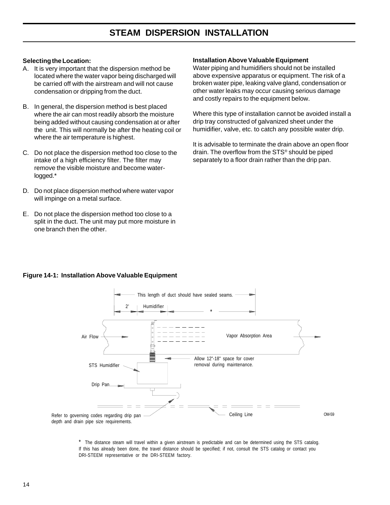## **STEAM DISPERSION INSTALLATION**

#### **Selecting the Location:**

- A. It is very important that the dispersion method be located where the water vapor being discharged will be carried off with the airstream and will not cause condensation or dripping from the duct.
- B. In general, the dispersion method is best placed where the air can most readily absorb the moisture being added without causing condensation at or after the unit. This will normally be after the heating coil or where the air temperature is highest.
- C. Do not place the dispersion method too close to the intake of a high efficiency filter. The filter may remove the visible moisture and become waterlogged.\*
- D. Do not place dispersion method where water vapor will impinge on a metal surface.
- E. Do not place the dispersion method too close to a split in the duct. The unit may put more moisture in one branch then the other.

#### **Installation Above Valuable Equipment**

Water piping and humidifiers should not be installed above expensive apparatus or equipment. The risk of a broken water pipe, leaking valve gland, condensation or other water leaks may occur causing serious damage and costly repairs to the equipment below.

Where this type of installation cannot be avoided install a drip tray constructed of galvanized sheet under the humidifier, valve, etc. to catch any possible water drip.

It is advisable to terminate the drain above an open floor drain. The overflow from the STS® should be piped separately to a floor drain rather than the drip pan.



#### **Figure 14-1: Installation Above Valuable Equipment**

\* The distance steam will travel within a given airstream is predictable and can be determined using the STS catalog. If this has already been done, the travel distance should be specified; if not, consult the STS catalog or contact you DRI-STEEM representative or the DRI-STEEM factory.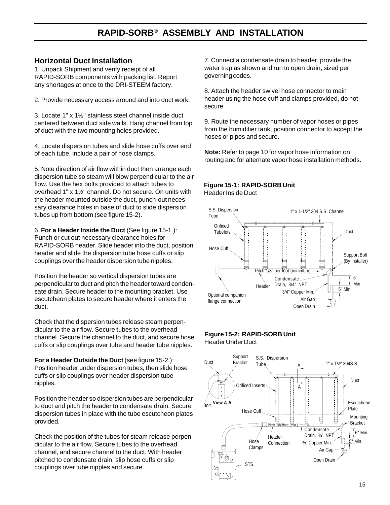## **RAPID-SORB**® **ASSEMBLY AND INSTALLATION**

#### **Horizontal Duct Installation**

1. Unpack Shipment and verify receipt of all RAPID-SORB components with packing list. Report any shortages at once to the DRI-STEEM factory.

2. Provide necessary access around and into duct work.

3. Locate 1" x 1½" stainless steel channel inside duct centered between duct side walls. Hang channel from top of duct with the two mounting holes provided.

4. Locate dispersion tubes and slide hose cuffs over end of each tube, include a pair of hose clamps.

5. Note direction of air flow within duct then arrange each dispersion tube so steam will blow perpendicular to the air flow. Use the hex bolts provided to attach tubes to overhead 1" x 1½" channel. Do not secure. On units with the header mounted outside the duct, punch-out necessary clearance holes in base of duct to slide dispersion tubes up from bottom (see figure 15-2).

6. **For a Header Inside the Duct** (See figure 15-1.): Punch or cut out necessary clearance holes for RAPID-SORB header. Slide header into the duct, position header and slide the dispersion tube hose cuffs or slip couplings over the header dispersion tube nipples.

Position the header so vertical dispersion tubes are perpendicular to duct and pitch the header toward condensate drain. Secure header to the mounting bracket. Use escutcheon plates to secure header where it enters the duct.

Check that the dispersion tubes release steam perpendicular to the air flow. Secure tubes to the overhead channel. Secure the channel to the duct, and secure hose cuffs or slip couplings over tube and header tube nipples.

**For a Header Outside the Duct** (see figure 15-2.): Position header under dispersion tubes, then slide hose cuffs or slip couplings over header dispersion tube nipples.

Position the header so dispersion tubes are perpendicular to duct and pitch the header to condensate drain. Secure dispersion tubes in place with the tube escutcheon plates provided.

Check the position of the tubes for steam release perpendicular to the air flow. Secure tubes to the overhead channel, and secure channel to the duct. With header pitched to condensate drain, slip hose cuffs or slip couplings over tube nipples and secure.

7. Connect a condensate drain to header, provide the water trap as shown and run to open drain, sized per governing codes.

8. Attach the header swivel hose connector to main header using the hose cuff and clamps provided, do not secure.

9. Route the necessary number of vapor hoses or pipes from the humidifier tank, position connector to accept the hoses or pipes and secure.

**Note:** Refer to page 10 for vapor hose information on routing and for alternate vapor hose installation methods.

#### **Figure 15-1: RAPID-SORB Unit** Header Inside Duct



#### **Figure 15-2: RAPID-SORB Unit** Header Under Duct

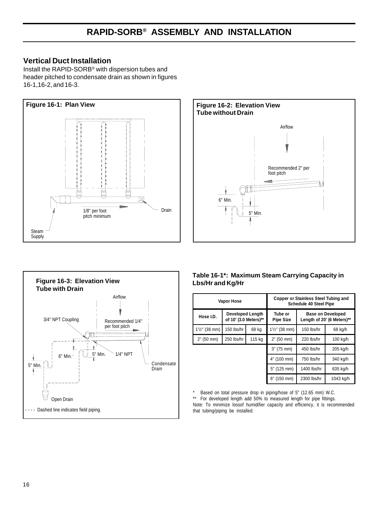#### **Vertical Duct Installation**

Install the RAPID-SORB® with dispersion tubes and header pitched to condensate drain as shown in figures 16-1,16-2, and 16-3.







#### **Table 16-1\*: Maximum Steam Carrying Capacity in Lbs/Hr and Kg/Hr**

|                     | <b>Vapor Hose</b>                                |             |                             | Copper or Stainless Steel Tubing and<br><b>Schedule 40 Steel Pipe</b> |                                                        |
|---------------------|--------------------------------------------------|-------------|-----------------------------|-----------------------------------------------------------------------|--------------------------------------------------------|
| Hose I.D.           | <b>Developed Length</b><br>of 10' (3.0 Meters)** |             | Tube or<br><b>Pipe Size</b> |                                                                       | <b>Base on Developed</b><br>Length of 20' (6 Meters)** |
| $1^{1}/2$ " (38 mm) | 150 lbs/hr                                       | 68 kg       | $1\frac{1}{2}$ " (38 mm)    | 150 lbs/hr                                                            | 68 kg/h                                                |
| 2" (50 mm)          | 250 lbs/hr<br>115 kg                             |             | 2" (50 mm)                  | 220 lbs/hr                                                            | 100 kg/h                                               |
|                     |                                                  |             | 3" (75 mm)                  | 450 lbs/hr                                                            | 205 kg/h                                               |
|                     |                                                  |             | 4" (100 mm)                 | 750 lbs/hr                                                            | 340 kg/h                                               |
|                     |                                                  | 5" (125 mm) | 1400 lbs/hr                 | 635 kg/h                                                              |                                                        |
|                     |                                                  |             | 6" (150 mm)                 | 2300 lbs/hr                                                           | 1043 kg/h                                              |

\* Based on total pressure drop in piping/hose of 5" (12.65 mm) W.C.

\*\* For developed length add 50% to measured length for pipe fittings. Note: To minimize lossof humidifier capacity and efficiency, it is recommended that tubing/piping be installed.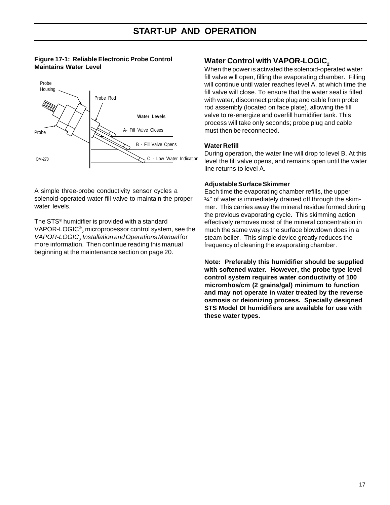#### **Figure 17-1: Reliable Electronic Probe Control Maintains Water Level**



A simple three-probe conductivity sensor cycles a solenoid-operated water fill valve to maintain the proper water levels.

The STS® humidifier is provided with a standard <code>VAPOR-LOGIC®</code>  $_2$  <code>microprocessor</code> control system, see the VAPOR-LOGIC<sub>2</sub> Installation and Operations Manual for more information. Then continue reading this manual beginning at the maintenance section on page 20.

#### **Water Control with VAPOR-LOGIC,**

When the power is activated the solenoid-operated water fill valve will open, filling the evaporating chamber. Filling will continue until water reaches level A, at which time the fill valve will close. To ensure that the water seal is filled with water, disconnect probe plug and cable from probe rod assembly (located on face plate), allowing the fill valve to re-energize and overfill humidifier tank. This process will take only seconds; probe plug and cable must then be reconnected.

#### **Water Refill**

During operation, the water line will drop to level B. At this level the fill valve opens, and remains open until the water line returns to level A.

#### **Adjustable Surface Skimmer**

Each time the evaporating chamber refills, the upper ¼" of water is immediately drained off through the skimmer. This carries away the mineral residue formed during the previous evaporating cycle. This skimming action effectively removes most of the mineral concentration in much the same way as the surface blowdown does in a steam boiler. This simple device greatly reduces the frequency of cleaning the evaporating chamber.

**Note: Preferably this humidifier should be supplied with softened water. However, the probe type level control system requires water conductivity of 100 micromhos/cm (2 grains/gal) minimum to function and may not operate in water treated by the reverse osmosis or deionizing process. Specially designed STS Model DI humidifiers are available for use with these water types.**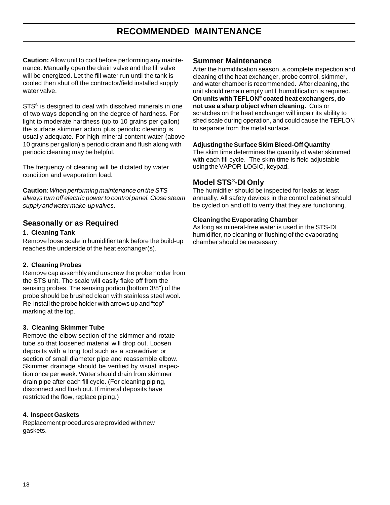## **RECOMMENDED MAINTENANCE**

**Caution:** Allow unit to cool before performing any maintenance. Manually open the drain valve and the fill valve will be energized. Let the fill water run until the tank is cooled then shut off the contractor/field installed supply water valve.

STS<sup>®</sup> is designed to deal with dissolved minerals in one of two ways depending on the degree of hardness. For light to moderate hardness (up to 10 grains per gallon) the surface skimmer action plus periodic cleaning is usually adequate. For high mineral content water (above 10 grains per gallon) a periodic drain and flush along with periodic cleaning may be helpful.

The frequency of cleaning will be dictated by water condition and evaporation load.

**Caution**: When performing maintenance on the STS always turn off electric power to control panel. Close steam supply and water make-up valves.

#### **Seasonally or as Required**

#### **1. Cleaning Tank**

Remove loose scale in humidifier tank before the build-up reaches the underside of the heat exchanger(s).

#### **2. Cleaning Probes**

Remove cap assembly and unscrew the probe holder from the STS unit. The scale will easily flake off from the sensing probes. The sensing portion (bottom 3/8") of the probe should be brushed clean with stainless steel wool. Re-install the probe holder with arrows up and "top" marking at the top.

#### **3. Cleaning Skimmer Tube**

Remove the elbow section of the skimmer and rotate tube so that loosened material will drop out. Loosen deposits with a long tool such as a screwdriver or section of small diameter pipe and reassemble elbow. Skimmer drainage should be verified by visual inspection once per week. Water should drain from skimmer drain pipe after each fill cycle. (For cleaning piping, disconnect and flush out. If mineral deposits have restricted the flow, replace piping.)

#### **4. Inspect Gaskets**

Replacement procedures are provided with new gaskets.

#### **Summer Maintenance**

After the humidification season, a complete inspection and cleaning of the heat exchanger, probe control, skimmer, and water chamber is recommended. After cleaning, the unit should remain empty until humidification is required. **On units with TEFLON® coated heat exchangers, do not use a sharp object when cleaning.** Cuts or scratches on the heat exchanger will impair its ability to shed scale during operation, and could cause the TEFLON to separate from the metal surface.

#### **Adjusting the Surface Skim Bleed-Off Quantity**

The skim time determines the quantity of water skimmed with each fill cycle. The skim time is field adjustable using the VAPOR-LOGIC $_{\rm _2}$ keypad.

#### **Model STS®-DI Only**

The humidifier should be inspected for leaks at least annually. All safety devices in the control cabinet should be cycled on and off to verify that they are functioning.

#### **Cleaning the Evaporating Chamber**

As long as mineral-free water is used in the STS-DI humidifier, no cleaning or flushing of the evaporating chamber should be necessary.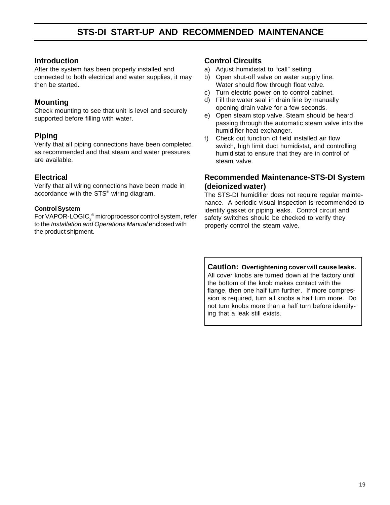## **STS-DI START-UP AND RECOMMENDED MAINTENANCE**

#### **Introduction**

After the system has been properly installed and connected to both electrical and water supplies, it may then be started.

#### **Mounting**

Check mounting to see that unit is level and securely supported before filling with water.

#### **Piping**

Verify that all piping connections have been completed as recommended and that steam and water pressures are available.

#### **Electrical**

Verify that all wiring connections have been made in accordance with the STS® wiring diagram.

#### **Control System**

For VAPOR-LOGIC $_2^{\circledast}$ microprocessor control system, refer to the Installation and Operations Manual enclosed with the product shipment.

#### **Control Circuits**

- a) Adjust humidistat to "call" setting.
- b) Open shut-off valve on water supply line. Water should flow through float valve.
- c) Turn electric power on to control cabinet.
- d) Fill the water seal in drain line by manually opening drain valve for a few seconds.
- e) Open steam stop valve. Steam should be heard passing through the automatic steam valve into the humidifier heat exchanger.
- f) Check out function of field installed air flow switch, high limit duct humidistat, and controlling humidistat to ensure that they are in control of steam valve.

#### **Recommended Maintenance-STS-DI System (deionized water)**

The STS-DI humidifier does not require regular maintenance. A periodic visual inspection is recommended to identify gasket or piping leaks. Control circuit and safety switches should be checked to verify they properly control the steam valve.

**Caution: Overtightening cover will cause leaks.** All cover knobs are turned down at the factory until the bottom of the knob makes contact with the flange, then one half turn further. If more compression is required, turn all knobs a half turn more. Do not turn knobs more than a half turn before identifying that a leak still exists.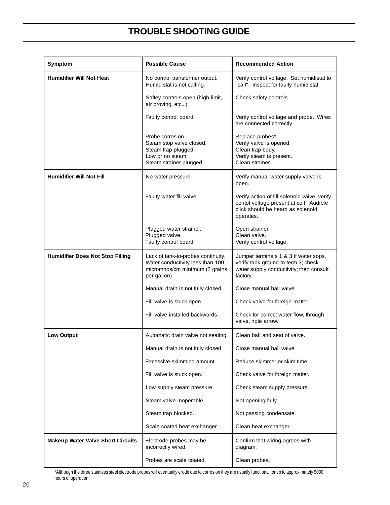## **TROUBLE SHOOTING GUIDE**

| Symptom                                  | <b>Possible Cause</b>                                                                                                   | <b>Recommended Action</b>                                                                                                                 |
|------------------------------------------|-------------------------------------------------------------------------------------------------------------------------|-------------------------------------------------------------------------------------------------------------------------------------------|
| <b>Humidifier Will Not Heat</b>          | No control transformer output.<br>Humidistat is not calling.                                                            | Verify control voltage. Set humidistat to<br>"call". Inspect for faulty humidistat.                                                       |
|                                          | Saftey controls open (high limit,<br>air proving, etc)                                                                  | Check safety controls.                                                                                                                    |
|                                          | Faulty control board.                                                                                                   | Verify control voltage and probe. Wires<br>are connected correctly.                                                                       |
|                                          | Probe corrosion.<br>Steam stop valve closed.<br>Steam trap plugged.<br>Low or no steam.<br>Steam strainer plugged.      | Replace probes*.<br>Verify valve is opened.<br>Clean trap body.<br>Verify steam is present.<br>Clean strainer.                            |
| <b>Humidifier Will Not Fill</b>          | No water pressure.                                                                                                      | Verify manual water supply valve is<br>open.                                                                                              |
|                                          | Faulty water fill valve.                                                                                                | Verify action of fill solenoid valve, verify<br>contol voltage present at coil. Audible<br>click should be heard as solenoid<br>operates. |
|                                          | Plugged water strainer.<br>Plugged valve.<br>Faulty control board.                                                      | Open strainer.<br>Clean valve.<br>Verify control voltage.                                                                                 |
| <b>Humidifier Does Not Stop Filling</b>  | Lack of tank-to-probes continuity.<br>Water conductivity less than 100<br>micromhos/cm minimum (2 grains<br>per gallon) | Jumper terminals 1 & 3 if water sops,<br>verify tank ground to term 3; check<br>water supply conductivity; then consult<br>factory.       |
|                                          | Manual drain is not fully closed.                                                                                       | Close manual ball valve.                                                                                                                  |
|                                          | Fill valve is stuck open.                                                                                               | Check valve for foreign matter.                                                                                                           |
|                                          | Fill valve installed backwards.                                                                                         | Check for correct water flow, through<br>valve, note arrow.                                                                               |
| <b>Low Output</b>                        | Automatic drain valve not seating.                                                                                      | Clean ball and seat of valve.                                                                                                             |
|                                          | Manual drain is not fully closed.                                                                                       | Close manual ball valve.                                                                                                                  |
|                                          | Excessive skimming amount.                                                                                              | Reduce skimmer or skim time.                                                                                                              |
|                                          | Fill valve is stuck open.                                                                                               | Check valve for foreign matter.                                                                                                           |
|                                          | Low supply steam pressure.                                                                                              | Check steam supply pressure.                                                                                                              |
|                                          | Steam valve inoperable.                                                                                                 | Not opening fully.                                                                                                                        |
|                                          | Steam trap blocked.                                                                                                     | Not passing condensate.                                                                                                                   |
|                                          | Scale coated heat exchanger.                                                                                            | Clean heat exchanger.                                                                                                                     |
| <b>Makeup Water Valve Short Circuits</b> | Electrode probes may be<br>incorrectly wired.                                                                           | Confirm that wiring agrees with<br>diagram.                                                                                               |
|                                          | Probes are scale coated.                                                                                                | Clean probes.                                                                                                                             |

\*Although the three stainless steel electrode probes will eventually erode due to corrosion they are usually functional for up to approximately 5000 hours of operation.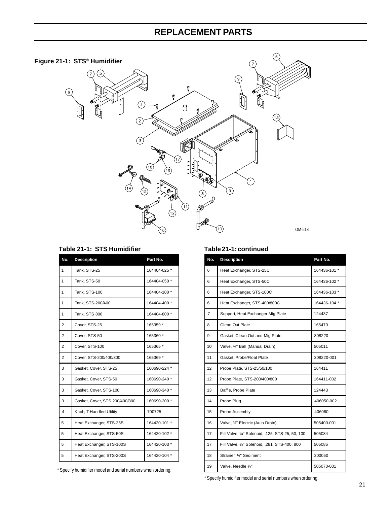## **REPLACEMENT PARTS**



| Table 21-1: STS Humidifier |  |  |  |  |
|----------------------------|--|--|--|--|
|----------------------------|--|--|--|--|

| No.                     | <b>Description</b>             | Part No.     |
|-------------------------|--------------------------------|--------------|
| 1                       | Tank. STS-25                   | 164404-025 * |
| 1                       | Tank, STS-50                   | 164404-050 * |
| 1                       | Tank, STS-100                  | 164404-100 * |
| 1                       | Tank, STS-200/400              | 164404-400 * |
| 1                       | Tank, STS 800                  | 164404-800 * |
| 2                       | Cover, STS-25                  | 165359 *     |
| $\overline{2}$          | Cover, STS-50                  | 165360 *     |
| 2                       | Cover, STS-100                 | 165365 *     |
| $\overline{2}$          | Cover, STS-200/400/800         | 165369 *     |
| 3                       | Gasket, Cover, STS-25          | 160690-224 * |
| 3                       | Gasket, Cover, STS-50          | 160690-240 * |
| 3                       | Gasket, Cover, STS-100         | 160690-340 * |
| 3                       | Gasket, Cover, STS 200/400/800 | 160690-200 * |
| $\overline{\mathbf{A}}$ | Knob, T-Handled Utility        | 700725       |
| 5                       | Heat Exchanger, STS-25S        | 164420-101 * |
| 5                       | Heat Exchanger, STS-50S        | 164420-102 * |
| 5                       | Heat Exchanger, STS-100S       | 164420-103 * |
| 5                       | Heat Exchanger, STS-200S       | 164420-104 * |

\* Specify humidifier model and serial numbers when ordering.

#### Table 21-1: continued

| No. | <b>Description</b>                               | Part No.     |
|-----|--------------------------------------------------|--------------|
| 6   | Heat Exchanger, STS-25C                          | 164436-101 * |
| 6   | Heat Exchanger, STS-50C                          | 164436-102 * |
| 6   | Heat Exchanger, STS-100C                         | 164436-103 * |
| 6   | Heat Exchanger, STS-400/800C                     | 164436-104 * |
| 7   | Support, Heat Exchanger Mtg Plate                | 124437       |
| 8   | Clean Out Plate                                  | 165470       |
| 9   | Gasket, Clean Out and Mtg Plate                  | 308220       |
| 10  | Valve, 34" Ball (Manual Drain)                   | 505011       |
| 11  | Gasket, Probe/Float Plate                        | 308220-001   |
| 12  | Probe Plate, STS-25/50/100                       | 164411       |
| 12  | Probe Plate, STS-200/400/800                     | 164411-002   |
| 13  | Baffle, Probe Plate                              | 124443       |
| 14  | Probe Plug                                       | 406050-002   |
| 15  | Probe Assembly                                   | 406060       |
| 16  | Valve, 34" Electric (Auto Drain)                 | 505400-001   |
| 17  | Fill Valve, 1/4" Solenoid, .125, STS-25, 50, 100 | 505084       |
| 17  | Fill Valve, 1/4" Solenoid, .281, STS-400, 800    | 505085       |
| 18  | Strainer, 1/4" Sediment                          | 300050       |
| 19  | Valve, Needle 1/4"                               | 505070-001   |

\* Specify humidifier model and serial numbers when ordering.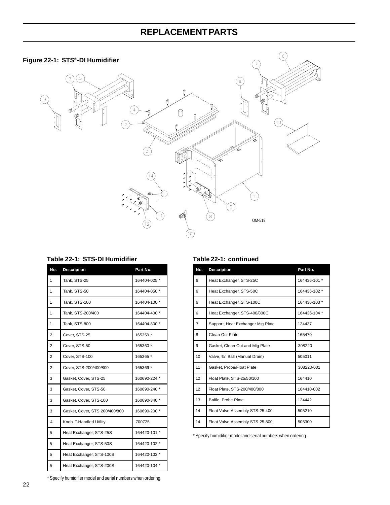## **REPLACEMENT PARTS**

# 6 **Figure 22-1: STS®-DI Humidifier**  $\bigcirc$ (7) ( 9  $\Theta$  $(13)$  $\overline{3}$  $\left(1\right)$  $\circledcirc$  $\,8\,$ OM-519  $\frac{1}{2}$

| No.            | <b>Description</b>             | Part No.     |
|----------------|--------------------------------|--------------|
| 1              | Tank, STS-25                   | 164404-025 * |
| 1              | Tank, STS-50                   | 164404-050 * |
| 1              | Tank, STS-100                  | 164404-100 * |
| 1              | Tank, STS-200/400              | 164404-400 * |
| 1              | Tank, STS 800                  | 164404-800 * |
| 2              | Cover, STS-25                  | 165359 *     |
| $\overline{2}$ | Cover, STS-50                  | 165360 *     |
| 2              | Cover, STS-100                 | 165365 *     |
| 2              | Cover, STS-200/400/800         | 165369 *     |
| 3              | Gasket, Cover, STS-25          | 160690-224 * |
| 3              | Gasket, Cover, STS-50          | 160690-240 * |
| 3              | Gasket, Cover, STS-100         | 160690-340 * |
| 3              | Gasket, Cover, STS 200/400/800 | 160690-200 * |
| 4              | Knob, T-Handled Utility        | 700725       |
| 5              | Heat Exchanger, STS-25S        | 164420-101 * |
| 5              | Heat Exchanger, STS-50S        | 164420-102 * |
| 5              | Heat Exchanger, STS-100S       | 164420-103 * |
| 5              | Heat Exchanger, STS-200S       | 164420-104 * |

#### Table 22-1: STS-DI Humidifier Table 22-1: continued

| No. | <b>Description</b>                | Part No.     |
|-----|-----------------------------------|--------------|
| 6   | Heat Exchanger, STS-25C           | 164436-101 * |
| 6   | Heat Exchanger, STS-50C           | 164436-102 * |
| 6   | Heat Exchanger, STS-100C          | 164436-103 * |
| 6   | Heat Exchanger, STS-400/800C      | 164436-104 * |
| 7   | Support, Heat Exchanger Mtg Plate | 124437       |
| 8   | Clean Out Plate                   | 165470       |
| 9   | Gasket, Clean Out and Mtg Plate   | 308220       |
| 10  | Valve, 34" Ball (Manual Drain)    | 505011       |
| 11  | Gasket, Probe/Float Plate         | 308220-001   |
| 12  | Float Plate, STS-25/50/100        | 164410       |
| 12  | Float Plate, STS-200/400/800      | 164410-002   |
| 13  | Baffle, Probe Plate               | 124442       |
| 14  | Float Valve Assembly STS 25-400   | 505210       |
| 14  | Float Valve Assembly STS 25-800   | 505300       |

\* Specify humidifier model and serial numbers when ordering.

\* Specify humidifier model and serial numbers when ordering.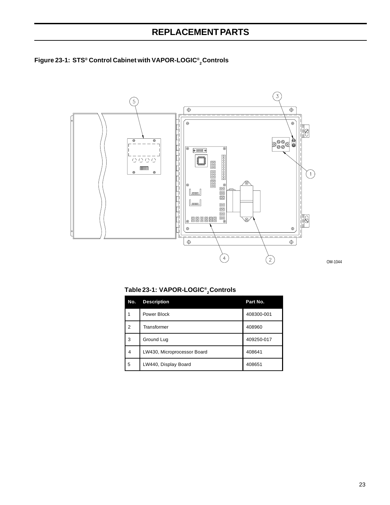## **REPLACEMENT PARTS**





OM-1044

**Table 23-1: VAPOR-LOGIC® 2 Controls**

| No.            | <b>Description</b>          | Part No.   |
|----------------|-----------------------------|------------|
|                | Power Block                 | 408300-001 |
| $\overline{2}$ | Transformer                 | 408960     |
| 3              | Ground Lug                  | 409250-017 |
| 4              | LW430, Microprocessor Board | 408641     |
| 5              | LW440, Display Board        | 408651     |